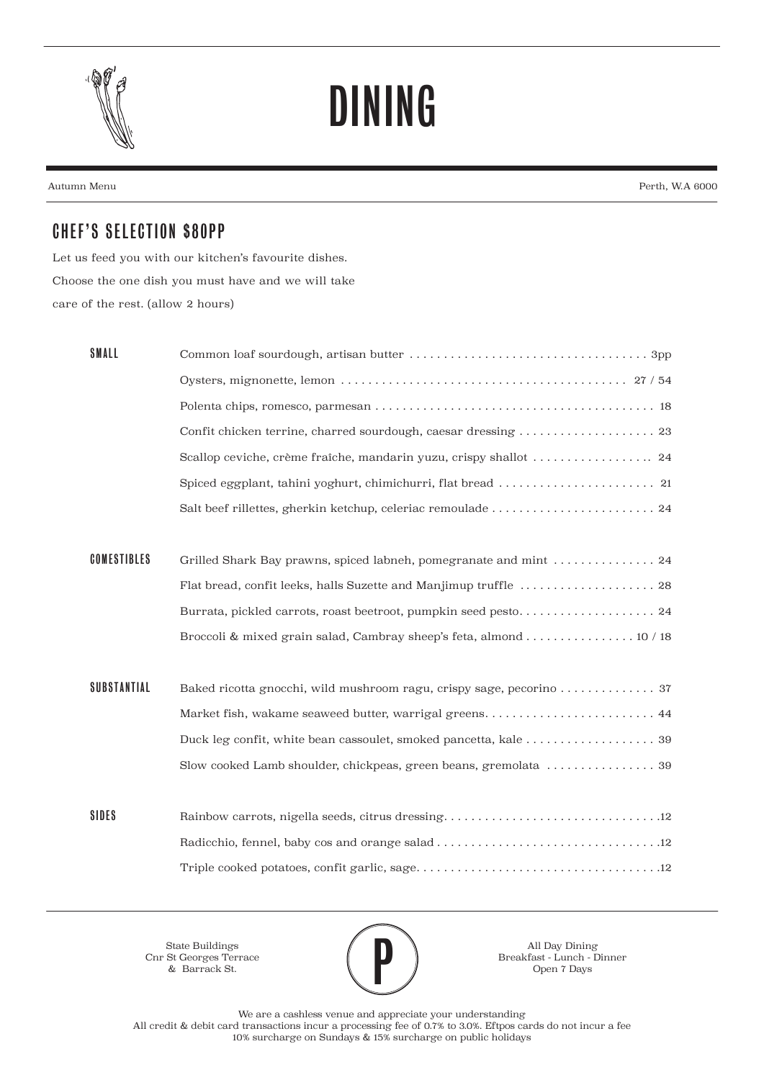

## DINING

Autumn Menu Perth, W.A 6000

## CHEF'S SELECTION \$80PP

Let us feed you with our kitchen's favourite dishes. Choose the one dish you must have and we will take care of the rest. (allow 2 hours)

| SMALL              |                                                                    |
|--------------------|--------------------------------------------------------------------|
|                    |                                                                    |
|                    |                                                                    |
|                    |                                                                    |
|                    |                                                                    |
|                    |                                                                    |
|                    |                                                                    |
|                    |                                                                    |
| <b>COMESTIBLES</b> | Grilled Shark Bay prawns, spiced labneh, pomegranate and mint  24  |
|                    |                                                                    |
|                    |                                                                    |
|                    | Broccoli & mixed grain salad, Cambray sheep's feta, almond 10 / 18 |
|                    |                                                                    |
| <b>SUBSTANTIAL</b> |                                                                    |
|                    | Market fish, wakame seaweed butter, warrigal greens 44             |
|                    |                                                                    |
|                    | Slow cooked Lamb shoulder, chickpeas, green beans, gremolata  39   |
|                    |                                                                    |
| <b>SIDES</b>       |                                                                    |
|                    |                                                                    |
|                    |                                                                    |
|                    |                                                                    |

State Buildings Cnr St Georges Terrace & Barrack St.



All Day Dining<br>Breakfast - Lunch - I<br>Open 7 Days Breakfast - Lunch - Dinner Open 7 Days

We are a cashless venue and appreciate your understanding All credit & debit card transactions incur a processing fee of 0.7% to 3.0%. Eftpos cards do not incur a fee 10% surcharge on Sundays & 15% surcharge on public holidays